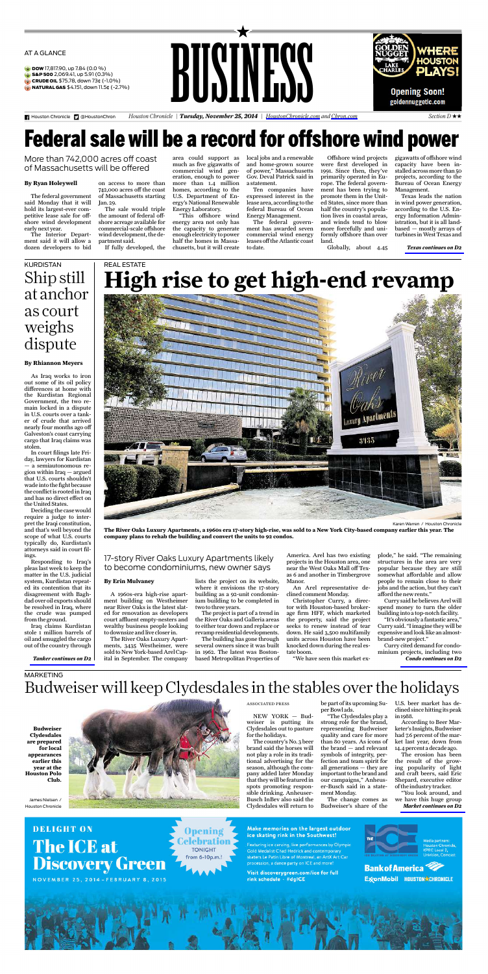<span id="page-0-0"></span>AT AGLANCE

- DOW 17,817.90, up 7.84 (0.0 %)
- S&P 500 2,069.41, up 5.91 (0.3%)
- Ġ **CRUDE OIL** \$75.78, down 73¢ (-1.0%)<br>**NATURAL GAS** \$4.151, down 11.5¢ (-2.7%)
- 

Houston Chronicle **D** @HoustonChron





*Houston Chronicle | Tuesday, November 25, 2014 | [HoustonChronicle.com](http://HoustonChronicle.com) and [Chron.com](http://Chron.com) Section D* xx

# Federal sale will be a record for offshore wind power

More than 742,000 acres off coast of Massachusetts will be offered

#### **By Ryan Holeywell**

The federal government said Monday that it will hold its largest-ever com-petitive lease sale for offshore wind development<br>early next year.

earlynext year. The Interior Depart-ment said it will allow a dozen developers to bid

on access to more than 742,000 acres off the coast of Massachusetts starting

Jan. 29. The sale would triple the amount of federal offshore acreage available for commercial-scale offshore wind development, the de-partmentsaid. If fully developed, the

REAL ESTATE

area could support as much as five gigawatts of commercial wind gen-eration, enough to power more than 1.4 million homes, according to the U.S. Department of Energy's National Renewable EnergyLaboratory. "This offshore wind

energy area not only has the capacity to generate enoughelectricity to power half the homes in Massa-chusetts, but it will create local jobs and a renewable and home-grown source of power," Massachusetts Gov. Deval Patrick said in astatement.

Ten companies have expressed interest in the lease area, according to the federal Bureau of Ocean EnergyManagement. The federal govern-ment has awarded seven

commercial wind energy leases off the Atlantic coast to date.

Offshore wind projects were first developed in 1991. Since then, they've primarily operated in Europe. The federal government has been trying to promote them in the United States, since more than half the country's popula-tion lives in coastal areas, and winds tend to blow more forcefully and uniformly offshore than over land. Globally, about 4.45

gigawatts of offshore wind capacity have been in-stalledacrossmore than 50 projects, according to the Bureau of Ocean Energy

Management. Texas leads the nation in wind power generation, according to the U.S. En-ergy Information Administration, but it is all land-<br>based - mostly arrays of based — mostly arrays of turbinesinWestTexas and

*Texas continues onD2*

## Shipstill at anchor as court weighs dispute KURDISTAN

### **By Rhiannon Meyers**

As Iraq works to iron out some of its oil policy differences at home with out some or its on poney<br>differences at home with<br>the Kurdistan Regional Government, the two re-<br>main locked in a dispute main locked in a dispute in U.S. courts overatanker of crude that arrived nearly four months ago off Galveston's coast carrying cargo that Iraq claims was stolen. In court filingslate Fri-

day, lawyers for Kurdistan —asemiautonomous region within Iraq —argued that U.S. courts shouldn't wade into the fight because the conflict is rooted in Iraq<br>and has no direct effect on<br>the United States.

Deciding the case would require a judge to inter-pret the Iraqiconstitution, and that's well beyond the<br>scope of what U.S. courts<br>typically do, Kurdistan's

attorneys said in court fil-ings. Responding to Iraq's pleas lastweek to keep the matter in the U.S. judicial system, Kurdistan repeat-ed its contention that its disagreement with Baghdadoveroil exports should be resolvedin Iraq, where the crude was pumped

from the ground. Iraq claims Kurdistan stole 1 million barrels of oiland smuggled the cargo out of the country through

*Tanker continues onD2*

Karen Warren / Houston Chronicle

The River Oaks Luxury Apartments, a 1960s era 17-story high-rise, was sold to a New York City-based company earlier this year. The<br>company plans to rehab the building and convert the units to 92 condos.

17-story River Oaks Luxury Apartments likely to become condominiums, newowner says

#### **By Erin Mulvaney**

A 1960s-era high-rise apartment building on Westheimer near RiverOaksis the latest slat-ed for renovation as developers court affluent empty-nesters and wealthy business people looking todownsize andlive closerin.

The River Oaks Luxury Apart-<br>ments, 3435 Westheimer, were<br>sold to New York-based Arel Capital in September. The company

lists the project on its website, where it envisions the 17-story building as a 92-unit condominium building to be completed in

two to three years.<br>The project is part of a trend in the River Oaks and Galleria areas<br>to either tear down and replace or<br>revamp residential developments.

Thebuilding has gone through several owners since it was built in 1962. The latest was Bostonbased Metropolitan Properties of

America. Arel has two existing projects in the Houston area, one near the West OaksMall off Tex-as 6 and another in Timbergrove

Manor. An Arel representative de-clined commentMonday.

Christopher Curry, a direc-tor with Houston-based broker-age firm HFF, which marketed the property, said the project seeks to renew instead of tear down. He said 3,500 multifamily units across Houston have been knockeddownduring the real estate boom.

"We have seen this market ex-

plode," he said. "The remaining structures in the area are very popular because they are still somewhat affordable and allow people to remain close to their jobs and the action, but they can't afford the new rents.

Currysaid he believesArel will spend money to turn the older buildinginto atop-notchfacility.

"It'sobviously afantastic area," Currysaid. "Iimagine they will be expensiveandlooklikeanalmost-

brand-newproject." Currycited demand for condominium projects, including two *Condo continues onD2*

Budweiser will keep Clydesdales in the stables over the holidays MARKETING

**Budw Clydesdales areprepared for local appearances earlier this year at the Houston Polo Club.**



#### ASSOCIATED PRESS

 $NEW$   $YORK - Bu$ weiser is putting its Clydesdales out to pasture for the holidays. Thecountry'sNo. 3beer

brand said the horses will not playarole in its traditional advertising for the season, although the com-pany added later Monday thatthey will be featuredin spots promoting respon-sible drinking.Anheuser-Busch InBev also said the Clydesdales will return to

be part of itsupcoming Su-

per Bowl ads. "The Clydesdales playa strong role for the brand, representing Budweiser quality and care for more than 80 years. As icons of the brand — and relevant symbols of integrity, per-fection and team spirit for all generations — they are importanttothe brand and our campaigns," Anheus-er-Busch said in a state-mentMonday.

The change comes as Budweiser's share of the

U.S. beer market has declined since hitting its peak in1988.

According to Beer Marketer's Insights, Budweiser<br>had 7.6 percent of the mar-

ket last year, down from 14.4 percentadecade ago. The erosion has been the result of the growing popularity of light and craft beers, said Eric

Shepard, executive editor of theindustrytracker. "You look around, and we have this huge group *Market continues onD2*